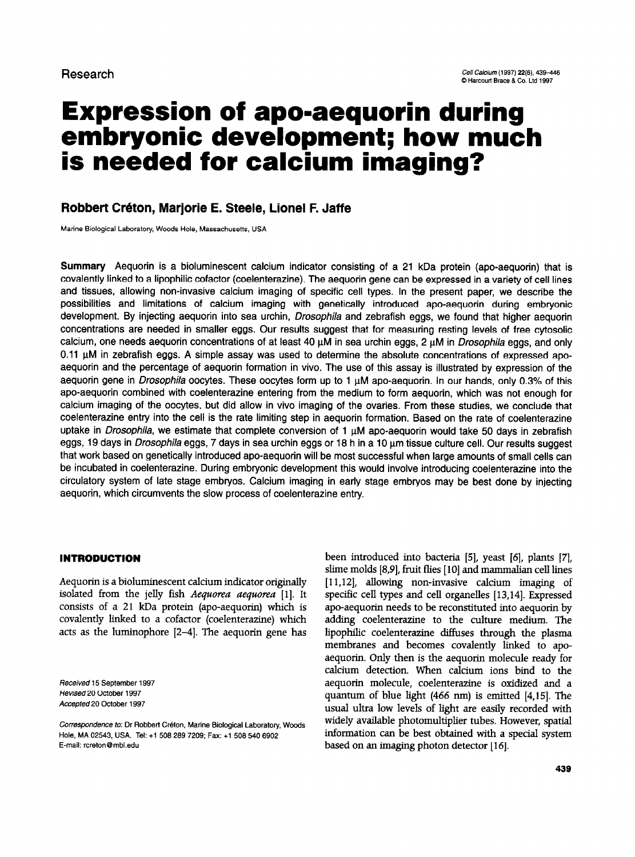# Expression of ape-aequorin during embryonic development; how much is needed for calcium imaging?

## Robbert Créton, Marjorie E. Steele, Lionel F. Jaffe

Marine Biological Laboratory, Woods Hole, Massachusetts, USA

Summary Aequorin is a bioluminescent calcium indicator consisting of a 21 kDa protein (apo-aequorin) that is covalently linked to a lipophilic cofactor (coelenterazine). The aequorin gene can be expressed in a variety of cell lines and tissues, allowing non-invasive calcium imaging of specific cell types. In the present paper, we describe the possibilities and limitations of calcium imaging with genetically introduced apo-aequorin during embryonic development. By injecting aequorin into sea urchin, *Drosophila* and zebrafish eggs, we found that higher aequorin concentrations are needed in smaller eggs. Our results suggest that for measuring resting levels of free cytosolic calcium, one needs aequorin concentrations of at least 40  $\mu$ M in sea urchin eggs, 2  $\mu$ M in *Drosophila* eggs, and only  $0.11$   $\mu$ M in zebrafish eggs. A simple assay was used to determine the absolute concentrations of expressed apoaequorin and the percentage of aequorin formation in vivo. The use of this assay is illustrated by expression of the aequorin gene in Drosophila oocytes. These oocytes form up to 1  $\mu$ M apo-aequorin. In our hands, only 0.3% of this apo-aequorin combined with coelenterazine entering from the medium to form aequorin, which was not enough for calcium imaging of the oocytes, but did allow in vivo imaging of the ovaries. From these studies, we conclude that coelenterazine entry into the cell is the rate limiting step in aequorin formation. Based on the rate of coelenterazine uptake in Drosophila, we estimate that complete conversion of  $1 \mu M$  apo-aequorin would take 50 days in zebrafish eggs, 19 days in Drosophila eggs, 7 days in sea urchin eggs or 18 h in a 10 µm tissue culture cell. Our results suggest that work based on genetically introduced apo-aequorin will be most successful when large amounts of small cells can be incubated in coelenterazine. During embryonic development this would involve introducing coelenterazine into the circulatory system of late stage embryos. Calcium imaging in early stage embryos may be best done by injecting aequorin, which circumvents the slow process of coelenterazine entry.

## INTRODUCTION

Aequorin is a bioluminescent calcium indicator originally isolated from the jelly fish Aequorea aequorea [1]. It consists of a 21 kDa protein (apo-aequorin) which is covalently linked to a cofactor (coelenterazine) which acts as the luminophore [Z-4]. The aequorin gene has

Received 15 September 1997 Revised 20 October 1997 Accepted 20 October 1997

 $\sim$  0.000  $\mu$  0.000  $\sim$  0.000  $\mu$  5000  $\mu$ , manno Diological Education Hole, MA 02543, USA. Tel: +1 508 289 7209; Fax: +1 508 540 6902<br>E-mail: rcreton@mbl.edu been introduced into bacteria [5], yeast [6], plants [7], slime molds [8,9], fruit flies [lo] and mammalian cell lines [11,12], allowing non-invasive calcium imaging of specific cell types and cell organelles [13,14]. Expressed apo-aequorin needs to be reconstituted into aequorin by adding coelenterazine to the culture medium. The lipophilic coelenterazine diffuses through the plasma membranes and becomes covalently linked to apoaequorin Only then is the aequorin molecule ready for calcium detection. When calcium ions bind to the aequorin molecule, coelenterazine is oxidized and a quantum of blue light (466 mn) is emitted [4,15]. The usual ultra low levels of light are easily recorded with widely available photomultiplier tubes. However, spatial macry available photomatuplier tubes. However, spatial based on an intervention detector and the contractor of the detector in the detector in the detector of the detector of the detector of the detector of the detector of the detector of the detector of the detector of the de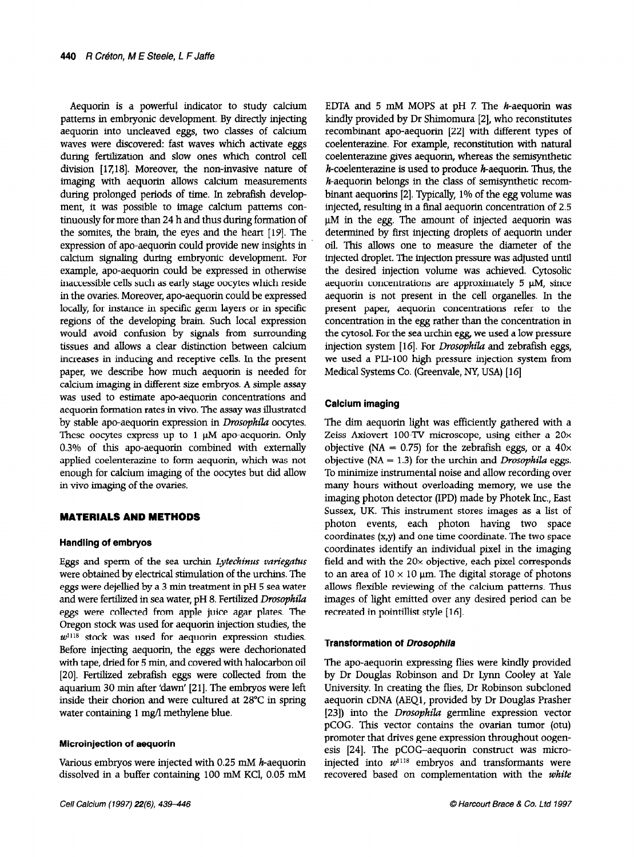Aequorin is a powerful indicator to study calcium patterns in embryonic development. By directly injecting aequorin into uncleaved eggs, two classes of calcium waves were discovered: fast waves which activate eggs during fertilization and slow ones which control cell division [17,18]. Moreover, the non-invasive nature of imaging with aequorin allows calcium measurements during prolonged periods of time. In zebrafish development, it was possible to image calcium patterns continuously for more than 24 h and thus during formation of the somites, the brain, the eyes and the heart [19]. The expression of apo-aequorin could provide new insights in calcium signaling during embryonic development. For example, apo-aequorin could be expressed in otherwise inaccessible cells such as early stage oocytes which reside in the ovaries. Moreover, apo-aequorin could be expressed locally, for instance in specific germ layers or in specific regions of the developing brain. Such local expression would avoid confusion by signals from surrounding tissues and allows a clear distinction between calcium increases in inducing and receptive cells. In the present paper, we describe how much aequorin is needed for calcium imaging in different size embryos. A simple assay was used to estimate apo-aequorin concentrations and aequorin formation rates in vivo. The assay was illustrated by stable apo-aequorin expression in Drosophila oocytes. These oocytes express up to  $1 \mu M$  apo-aequorin. Only 0.3% of this apo-aequorin combined with externally applied coelenterazine to form aequorin, which was not enough for calcium imaging of the oocytes but did allow in vivo imaging of the ovaries.

## MATERIALS AND METHODS

## Handling of embryos

Eggs and sperm of the sea urchin Lytechinus variegatus were obtained by electrical stimulation of the urchins. The eggs were dejellied by a 3 min treatment in pH 5 sea water  $\frac{1}{2}$  and we have featured in sea water, pH 8. Ferrilling Drosophila egge were recurred in sea mater, plates. The collection of the state of the state of the state of the state of the state of the state of the state of the state of the state of the state of the state of the state of the sta eggs were collected from apple juice agar plates. The Oregon stock was used for aequorin injection studies, the  $w$ <sup>1118</sup> stock was used for aequorin expression studies.  $\frac{1}{2}$ with tape, dried for 5 min, and covered with halocarbon oil  $\frac{1}{2}$  $\frac{1}{2}$ . Fertilized to the collected from the collected from the collection of  $[20]$ . Termized zebransit eggs were ebieden from the aquarium 30 min after 'dawn' [21]. The embryos were left inside their chorion and were cultured at 28°C in spring water containing 1 mg/l methylene blue.

## Microinjection of aequorin

Various embryos were injected with 0.25 m.M h-aequorin valious emblyos were injected with 0.25 mm h-aequoim

EDTA and 5 mM MOPS at pH 7. The  $h$ -aequorin was kindly provided by Dr Shimomura [Z], who reconstitutes recombinant apo-aequorin [ZZ] with different types of coelenterazine. For example, reconstitution with natural coelenterazine gives aequorin, whereas the semisynthetic  $h$ -coelenterazine is used to produce  $h$ -aequorin. Thus, the h-aequorin belongs in the class of semisynthetic recombinant aequorins [Z]. Typically, 1% of the egg volume was injected, resulting in a final aequorin concentration of 2.5  $\mu$ M in the egg. The amount of injected aequorin was determined by first injecting droplets of aequorin under oil. This allows one to measure the diameter of the injected droplet. The injection pressure was adjusted until the desired injection volume was achieved. Cytosolic aequorin concentrations are approximately  $5 \mu M$ , since aequorin is not present in the cell organelles. In the present paper, aequorin concentrations refer to the concentration in the egg rather than the concentration in the cytosol. For the sea urchin egg, we used a low pressure injection system [16]. For Drosophila and zebrafish eggs, we used a PLI-100 high pressure injection system from Medical Systems Co. (Greenvale, NY, USA) [16]

## Calcium imaging

The dim aequorin light was efficiently gathered with a Zeiss Axiovert 100-TV microscope, using either a 20x objective (NA = 0.75) for the zebrafish eggs, or a  $40\times$ objective ( $NA = 1.3$ ) for the urchin and *Drosophila* eggs. To minimize instrumental noise and allow recording over many hours without overloading memory, we use the imaging photon detector (IPD) made by Photek Inc., East Sussex, UK. This instrument stores images as a list of photon events, each photon having two space coordinates (x,y) and one time coordinate. The two space coordinates identify an individual pixel in the imaging field and with the 20x objective, each pixel corresponds to an area of  $10 \times 10$  µm. The digital storage of photons allows flexible reviewing of the calcium patterns. Thus  $\frac{1}{2}$  is a calculate the contribution of the canonical period can be desired any desired period can be desired any desired period can be desired any desired any desired any desired any desired any desired any desired required in pointing the contract of the contract of the contract of the contract of the contract of the contract of the contract of the contract of the contract of the contract of the contract of the contract of the contr

#### Transformation of Drosophila

The apo-aequorin expressing flies were kindly provided by Dr Douglas Robinson and Dr Lynn Cooley at Yale  $U_y$  Dr Douglas Robinson and Dr Lynn Coolcy at Tak  $\alpha$  conversity. In creating the files, *Dr* Robinson subcroned aequorin cDNA (AEQ1, provided by Dr Douglas Prasher [23]) into the *Drosophila* germline expression vector pCOG. This vector contains the ovarian tumor (otu) promoter that drives gene expression throughout oogenesis [24]. The pCOG-aequorin construct was microinjected into  $w^{1118}$  embryos and transformants were recovered based on complementation with the *white*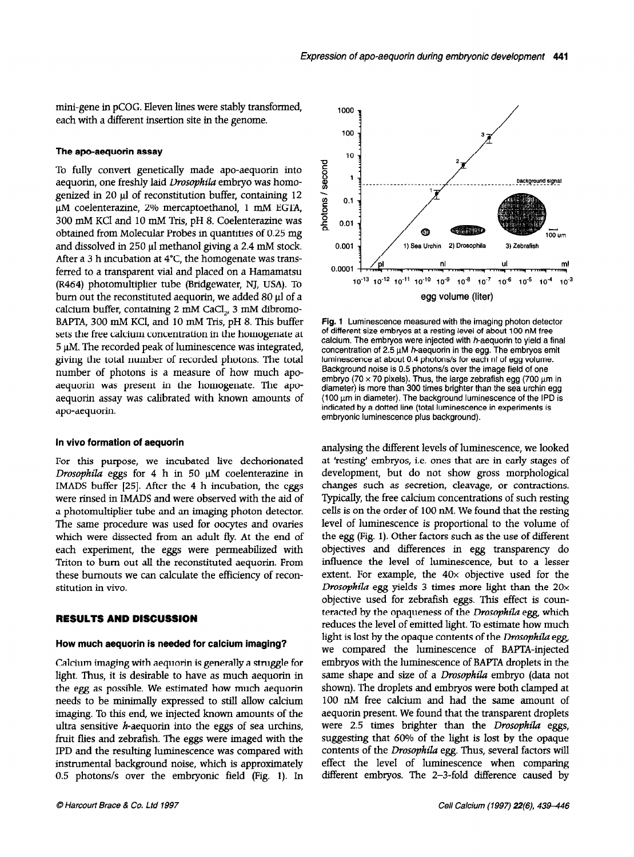mini-gene in pCOG. Eleven lines were stably transformed, each with a different insertion site in the genome.

### The apo-aequorin assay

To fully convert genetically made apo-aequorin into aequorin, one freshly laid Drosophila embryo was homogenized in 20  $\mu$ l of reconstitution buffer, containing 12 µM coelenterazine, 2% mercaptoethanol, 1 mM EGTA, 300 mM KC1 and 10 mM Tris, pH 8. Coelenterazine was obtained from Molecular Probes in quantities of 0.25 mg and dissolved in 250  $\mu$ l methanol giving a 2.4 mM stock. After a 3 h incubation at  $4^{\circ}$ C, the homogenate was transferred to a transparent vial and placed on a Hamamatsu (R464) photomultiplier tube (Bridgewater, NJ, USA). To burn out the reconstituted aequorin, we added 80  $\mu$ l of a calcium buffer, containing 2 mM CaCl<sub>2</sub>, 3 mM dibromo-BAPTA, 300 mM KCI, and 10 mM Tris, pH 8. This buffer sets the free calcium concentration in the homogenate at  $5 \mu$ M. The recorded peak of luminescence was integrated, giving the total number of recorded photons. The total number of photons is a measure of how much apoaequorin was present in the homogenate. The apoaequorin assay was calibrated with known amounts of apo-aequorin.

## In vivo formation of aequorin

For this purpose, we incubated live dechorionated Drosophila eggs for 4 h in 50  $\mu$ M coelenterazine in IMADS buffer [25]. After the 4 h incubation, the eggs were rinsed in IMADS and were observed with the aid of a photomultiplier tube and an imaging photon detector. The same procedure was used for oocytes and ovaries which were dissected from an adult fly. At the end of each experiment, the eggs were permeabilized with Triton to burn out all the reconstituted aequorin. From  $t_{\text{tot}}$  and  $t_{\text{tot}}$  can calculate the efficiency of reconstruction  $\alpha$ more bumbuto.

## **RESULTS AND DISCUSSION**

## How much aequorin is needed for calcium imaging?

Calcium imaging with aequorin is generally a struggle for Calcium miaging with aequorin is generally a struggle for light. Thus, it is desirable to have as much aequorin in the egg as possible. We estimated how much aequorin needs to be minimally expressed to still allow calcium imaging. To this end, we injected known amounts of the ultra sensitive  $h$ -aequorin into the eggs of sea urchins, fruit flies and zebrafish. The eggs were imaged with the IPD and the resulting luminescence was compared with instrumental background noise, which is approximately<br>0.5 photons/s over the embryonic field (Fig. 1). In



Fig. 1 Luminescence measured with the imaging photon detector of different size embryos at a resting level of about 100 nM free calcium. The embryos were injected with  $h$ -aequorin to yield a final concentration of 2.5  $\mu$ M h-aequorin in the egg. The embryos emit luminescence at about 0.4 photons/s for each nl of egg volume. Background noise is 0.5 photons/s over the image field of one embryo (70  $\times$  70 pixels). Thus, the large zebrafish egg (700  $\mu$ m in diameter) is more than 300 times brighter than the sea urchin egg (100 urn in diameter). The background luminescence of the IPD is indicated by a dotted line (total luminescence in experiments is embryonic luminescence plus background).

analysing the different levels of luminescence, we looked at 'resting' embryos, i.e. ones that are in early stages of development, but do not show gross morphological changes such as secretion, cleavage, or contractions. Typically, the free calcium concentrations of such resting cells is on the order of 100 nM. We found that the resting level of luminescence is proportional to the volume of the egg (Fig. 1). Other factors such as the use of different objectives and differences in egg transparency do influence the level of luminescence, but to a lesser extent. For example, the  $40\times$  objective used for the Drosophila egg yields 3 times more light than the  $20\times$ objective used for zebrafish eggs. This effect is counteracted by the opaqueness of the Drosophila egg, which reduces the level of emitted light. To estimate how much light is lost by the opaque contents of the *Drosophila* egg, we consider the luminos of the *BAPTA-injected* re compare in familiescence of BAT at higher samples was are a multiple of a Drosophie computer in the same shape and size of a *Drosophila* embryo juala not shown). The droplets and embryos were both clamped at 100 nM free calcium and had the same amount of aequorin present. We found that the transparent droplets were 2.5 times brighter than the Drosophila eggs, suggesting that 60% of the light is lost by the opaque contents of the Drosophila egg. Thus, several factors will different embryos. The 2-3-fold difference caused by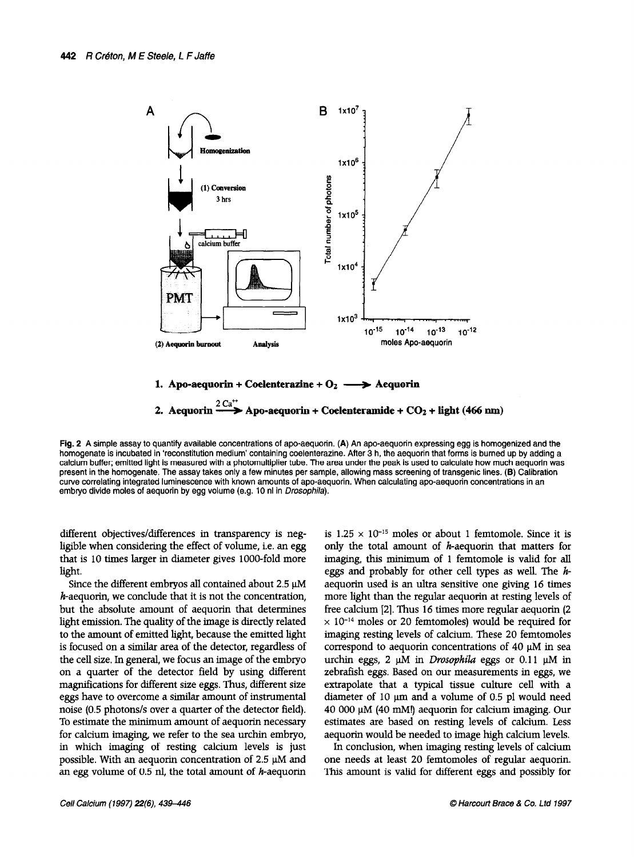



Fig. 2 A simple assay to quantify available concentrations of apo-aequorin. (A) An apo-aequorin expressing egg is homogenized and the homogenate is incubated in 'reconstitution medium' containing coelenterazine. After 3 h, the aequorin that forms is burned up by adding a calcium buffer; emitted light is measured with a photomultiplier tube. The area under the peak is used to calculate how much aequorin was present in the homogenate. The assay takes only a few minutes per sample, allowing mass screening of transgenic lines. (8) Calibration curve correlating integrated luminescence with known amounts of apo-aequorin. When calculating apo-aequorin concentrations in an embryo divide moles of aequorin by egg volume (e.g. 10 nl in Drosophila).

different objectives/differences in transparency is negligible when considering the effect of volume, i.e. an egg that is 10 times larger in diameter gives lOOO-fold more light.

Since the different embryos all contained about  $2.5 \mu M$  $h$ -aequorin, we conclude that it is not the concentration, but the absolute amount of aequorin that determines light emission. The quality of the image is directly related to the amount of the amount of the emitted light, because the emitted light of the emitted light of the emitted light of the emitted light of the emitted light of the emitted light of the emitted light of the emitted light to the amount of emitted agric, because the emitted agric is focused on a similar area of the detector, regardless of the cell size. In general, we focus an image of the embryo on a quarter of the detector field by using different magnifications for different size eggs. Thus, different size eggs have to overcome a similar amount of instrumental noise (0.5 photons/s over a quarter of the detector field). To estimate the minimum amount of aequorin necessary for calcium imaging, we refer to the sea urchin embryo, in which imaging of resting calcium levels is just possible. With an aequorin concentration of  $2.5 \mu M$  and an egg volume of 0.5 nl, the total amount of *h*-aequorin is 1.25  $\times$  10<sup>-15</sup> moles or about 1 femtomole. Since it is only the total amount of h-aequorin that matters for imaging, this minimum of 1 femtomole is valid for all eggs and probably for other cell types as well. The  $h$ aequorin used is an ultra sensitive one giving 16 times more light than the regular aequorin at resting levels of free calcium [2]. Thus 16 times more regular aequorin (2)  $\times$  10<sup>-14</sup> moles or 20 femtomoles) would be required for  $\sim$  10 moles of 20 femtomoles, would be required to maging results to reas of calculations and the temporism correspond to aequorin concentrations of 40  $\mu$ M in sea urchin eggs, 2  $\mu$ M in *Drosophila* eggs or 0.11  $\mu$ M in zebrafish eggs. Based on our measurements in eggs, we extrapolate that a typical tissue culture cell with a diameter of 10  $\mu$ m and a volume of 0.5 pl would need 40 000  $\mu$ M (40 mM!) aequorin for calcium imaging. Our estimates are based on resting levels of calcium. Less aequorin would be needed to image high calcium levels.

In conclusion, when imaging resting levels of calcium one needs at least 20 femtomoles of regular aequorin.<br>This amount is valid for different eggs and possibly for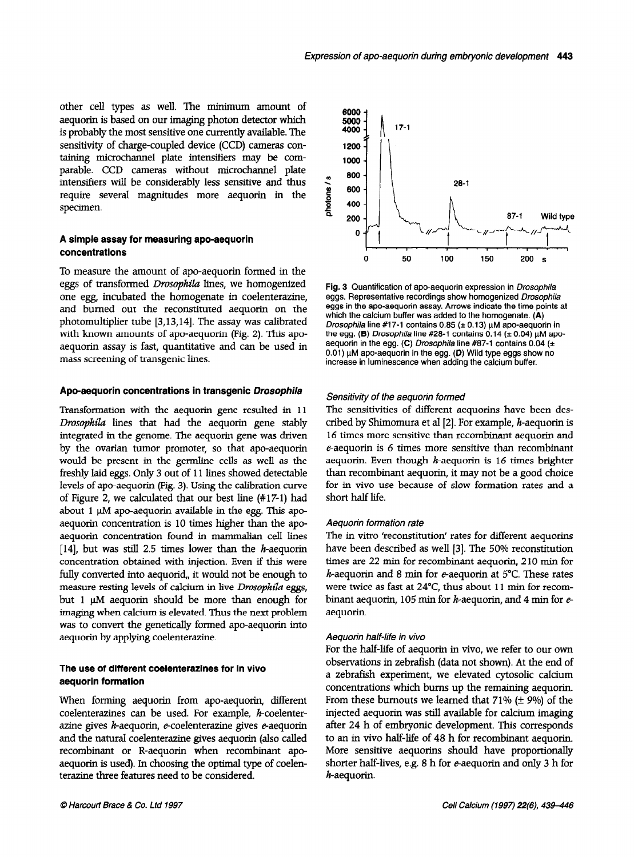other cell types as well. The minimum amount of aequorin is based on our imaging photon detector which is probably the most sensitive one currently available. The sensitivity of charge-coupled device (CCD) cameras containing microchannel plate intensifiers may be comparable. CCD cameras without microchannel plate intensifiers will be considerably less sensitive and thus require several magnitudes more aequorin in the specimen.

## A simple assay for measuring apo-aequorin concentrations

To measure the amount of apo-aequorin formed in the eggs of transformed Drosophila lines, we homogenized one egg, incubated the homogenate in coelenterazine, and burned out the reconstituted aequorin on the photomultiplier tube [3,13,14]. The assay was calibrated with known amounts of apo-aequorin (Fig. 2). This apoaequorin assay is fast, quantitative and can be used in mass screening of transgenic lines.

## Apo-aequorin concentrations in transgenic Drosophila

Transformation with the aequorin gene resulted in 11 Drosophila lines that had the aequorin gene stably integrated in the genome. The aequorin gene was driven by the ovarian tumor promoter, so that apo-aequorin would be present in the germline cells as well as the freshly laid eggs. Only 3 out of 11 lines showed detectable levels of apo-aequorin (Fig. 3). Using the calibration curve of Figure 2, we calculated that our best line (#17-l) had about 1  $\mu$ M apo-aequorin available in the egg. This apoaequorin concentration is 10 times higher than the apoaequorin concentration found in mammalian cell lines [14], but was still 2.5 times lower than the  $h$ -aequorin concentration obtained with injection. Even if this were fully converted into aequorid,, it would not be enough to measure resting levels of calcium in live Drosophila eggs, but 1  $\mu$ M aequorin should be more than enough for imaging when calcium is elevated. Thus the next problem maging when each and generally apo-accurate apowas to conven are generally form

## The use of different coelenterazines for in vivo and use of unitries

When forming aequorin from apo-aequorin, different when forming aequoint nom apo-aequoint, unefer coelenterazines can be used. For example,  $h$ -coelenterazine gives  $h$ -aequorin, e-coelenterazine gives e-aequorin and the natural coelenterazine gives aequorin (also called recombinant or R-aequorin when recombinant apoaequorin is used). In choosing the optimal type of coelenterazine three features need to be considered.



Fig. 3 Quantification of apo-aequorin expression in Drosophila eggs. Representative recordings show homogenized Drosophila eggs in the apo-aequorin assay. Arrows indicate the time points at which the calcium buffer was added to the homogenate. (A) Drosophila line #17-1 contains 0.85 ( $\pm$  0.13)  $\mu$ M apo-aequorin in the egg. (B) Drosophila line #28-1 contains  $0.14$  ( $\pm$  0.04)  $\mu$ M apoaequorin in the egg. (C) Drosophila line #87-1 contains 0.04 ( $\pm$ 0.01) µM apo-aequorin in the egg. (D) Wild type eggs show no increase in luminescence when adding the calcium buffer.

## Sensitivity of the aequorin formed

The sensitivities of different aequorins have been described by Shimomura et al [2]. For example, h-aequorin is 16 times more sensitive than recombinant aequorin and  $e$ -aequorin is 6 times more sensitive than recombinant aequorin. Even though  $h$ -aequorin is 16 times brighter than recombinant aequorin, it may not be a good choice for in vivo use because of slow formation rates and a short half life.

## Aequorin formation rate

The in vitro 'reconstitution' rates for different aequorins have been described as well [3]. The 50% reconstitution times are 22 min for recombinant aequorin, 210 min for h-aequorin and 8 min for e-aequorin at  $5^{\circ}$ C. These rates we depend and  $\sigma$  min for  $\sigma$  adoption at  $\sigma$  c. These rates bind and a proportion for  $\frac{1}{4}$  min for  $\frac{1}{4}$ binant aequorin, 105 min for  $h$ -aequorin, and 4 min for  $e$ -aequorin.

#### Aequorin half-life in vivo

 $F_{\rm c}$  of a formulation in vivo, we refer to our own  $F_{\rm c}$ observations in a not show that we have not show the end of the end of the end of the end of the end of the end of the end of the end of the end of the end of the end of the end of the end of the end of the end of the end observations in zebrafish (data not shown). At the end of a zebrafish experiment, we elevated cytosolic calcium concentrations which burns up the remaining aequorin. From these burnouts we learned that  $71\%$  ( $\pm$  9%) of the injected aequorin was still available for calcium imaging after 24 h of embryonic development. This corresponds to an in vivo half-life of 48 h for recombinant aequorin. More sensitive aequorins should have proportionally shorter half-lives, e.g. 8 h for *e*-aequorin and only 3 h for  $h$ -aequorin.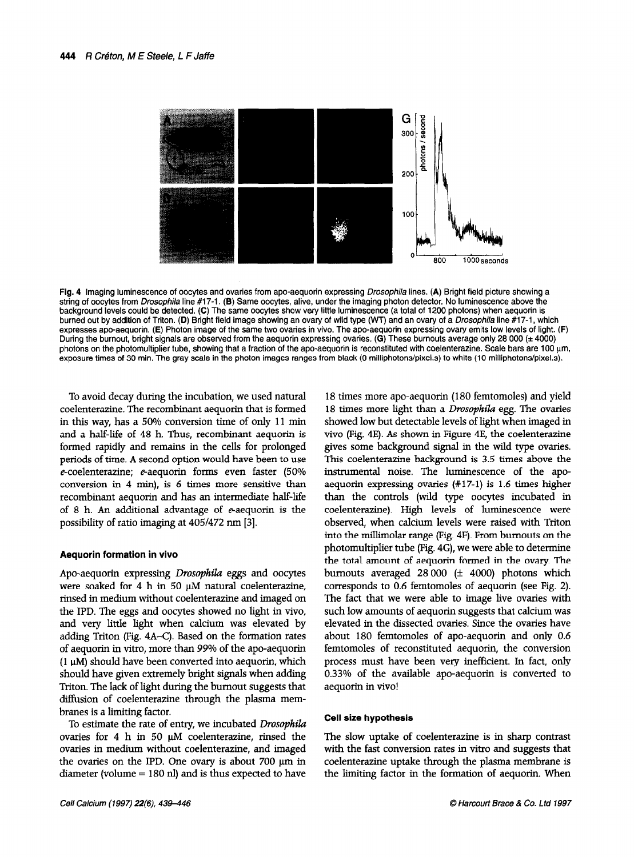

Fig. 4 Imaging luminescence of oocytes and ovaries from apo-aequorin expressing *Drosophila* lines. (A) Bright field picture showing a string of oocytes from Drosophila line #17-l. (8) Same oocytes, alive, under the imaging photon detector. No luminescence above the background levels could be detected. (C) The same oocytes show very little luminescence (a total of 1200 photons) when aequorin is burned out by addition of Triton. (D) Bright field image showing an ovary of wild type (WT) and an ovary of a *Drosophila* line #17-1, which expresses apo-aequorin. (E) Photon image of the same two ovaries in vivo. The apo-aequorin expressing ovary emits low levels of light. (F) During the burnout, bright signals are observed from the aequorin expressing ovaries. (G) These burnouts average only 28 000 ( $\pm$  4000) photons on the photomultiplier tube, showing that a fraction of the apo-aequorin is reconstituted with coelenterazine. Scale bars are 100 urn, exposure times of 30 min. The gray scale in the photon images ranges from black (0 milliphotons/pixel.s) to white (10 milliphotons/pixel.s).

To avoid decay during the incubation, we used natural coelenterazine. The recombinant aequorin that is formed in this way, has a 50% conversion time of only 11 min and a half-life of 48 h. Thus, recombinant aequorin is formed rapidly and remains in the cells for prolonged periods of time. A second option would have been to use  $e$ -coelenterazine;  $e$ -aequorin forms even faster (50% conversion in 4 min), is 6 times more sensitive than recombinant aequorin and has an intermediate half-life of 8 h. An additional advantage of  $e$ -aequorin is the possibility of ratio imaging at 4051472 nm [3].

### Aequorin formation in vivo

Apo-aequorin expressing Drosophila eggs and oocytes were soaked for 4 h in 50  $\mu$ M natural coelenterazine, rich source for  $\frac{1}{2}$  medium  $\frac{1}{2}$  medium without coelenterazine, the IPD. The IPD. The IPD. The eggs and one light in vivo, and the showed in vivo, and the showed in vivo, and in vivo, and in vivo, and in vivo, and in vivo, and in vivo, and in vivo, and in vivo, and in vivo, and in vivo and it by the eggs and obeyies showed no agin in  $\frac{1}{2}$ and very mere again when calculate was crevated by adding Triton (Fig. 4A–C). Based on the formation rates of aequorin in vitro, more than 99% of the apo-aequorin  $(1.16, 1.1)$  shown into a matrix which are a posted into a shown into a shown into a shown into a shown in  $(1.1)$  $\frac{1}{1}$  and should have been convenced the adquaint, when should have given extremely bright signals when adding Triton. The lack of light during the burnout suggests that diffusion of coelenterazine through the plasma mem-<br>branes is a limiting factor.  $\alpha$  is a minimigration.

to estimate the rate of emity, we includated *Drosophila* ovaries for 4 h in 50  $\mu$ M coelenterazine, rinsed the ovaries in medium without coelenterazine, and imaged the ovaries on the IPD. One ovary is about 700  $\mu$ m in diameter (volume = 180 nl) and is thus expected to have

18 times more apo-aequorin (180 femtomoles) and yield 18 times more light than a *Drosophila* egg. The ovaries showed low but detectable levels of light when imaged in vivo (Fig. 4E). As shown in Figure 4E, the coelenterazine gives some background signal in the wild type ovaries. This coelenterazine background is 3.5 times above the instrumental noise. The luminescence of the apoaequorin expressing ovaries (#17-l) is 1.6 times higher than the controls (wild type oocytes incubated in coelenterazine). High levels of luminescence were observed, when calcium levels were raised with Triton into the millimolar range (Fig. 4F). From burnouts on the photomultiplier tube (Fig. 4G), we were able to determine the total amount of aequorin formed in the ovary. The burnouts averaged  $28000$  ( $\pm$  4000) photons which corresponds to 0.6 femtomoles of aequorin (see Fig. 2).  $T_{\text{tot}}$  fact that we were able to immediate or adjustment pool e.g.  $\omega_i$ such low and we were done to anage are order was such low amounts of aequorin suggests that calcium was elevated in the dissected ovaries. Since the ovaries have about 180 females of a control of a port and only 0.6 about four temtomoles of apo acquoint and only of femtomoles of reconstituted aequorin, the conversion process must have been very inefficient. In fact, only 0.33% of the available apo-aequorin is converted to aequorin in vivo!

## Cell size hypothesis

The slow uptake of coelenterazine is in sharp contrast The slow uplane of coefficialities in sharp contrast with the fast conversion rates in vitro and suggests that coelenterazine uptake through the plasma membrane is the limiting factor in the formation of aequorin. When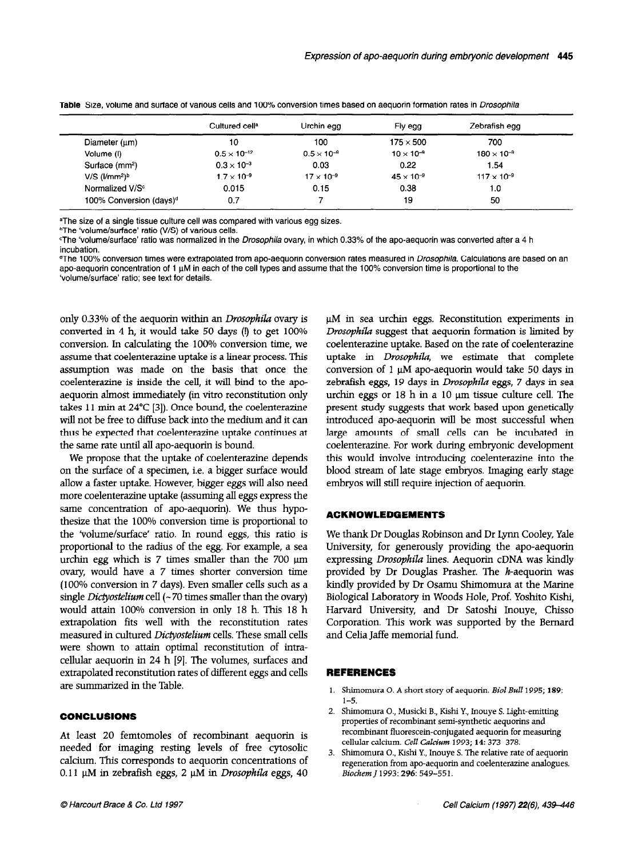|                                     | Cultured cell <sup>a</sup> | Urchin egg           | Fly egg             | Zebrafish egg        |
|-------------------------------------|----------------------------|----------------------|---------------------|----------------------|
| Diameter $(\mu m)$                  | 10                         | 100                  | $175 \times 500$    | 700                  |
| Volume (I)                          | $0.5 \times 10^{-12}$      | $0.5 \times 10^{-9}$ | $10 \times 10^{-9}$ | $180 \times 10^{-9}$ |
| Surface (mm <sup>2</sup> )          | $0.3 \times 10^{-3}$       | 0.03                 | 0.22                | 1.54                 |
| $V/S$ ( $l/mm2$ ) <sup>b</sup>      | $1.7 \times 10^{-9}$       | $17 \times 10^{-9}$  | $45 \times 10^{-9}$ | $117 \times 10^{-9}$ |
| Normalized V/S <sup>c</sup>         | 0.015                      | 0.15                 | 0.38                | 1.0                  |
| 100% Conversion (days) <sup>d</sup> | 0.7                        |                      | 19                  | 50                   |

Table Size, volume and surface of various cells and 100% conversion times based on aequorin formation rates in Drosophila

<sup>a</sup>The size of a single tissue culture cell was compared with various egg sizes.

bThe 'volume/surface' ratio (V/S) of various cells.

The 'volume/surface' ratio was normalized in the Drosophila ovary, in which 0.33% of the apo-aequorin was converted after a 4 h incubation.

The 100% conversion times were extrapolated from apo-aequorin conversion rates measured in *Drosophila*. Calculations are based on an apo-aeguorin concentration of 1 uM in each of the cell types and assume that the 100% conversion time is proportional to the 'volume/surface' ratio; see text for details.

only 0.33% of the aequorin within an *Drosophila* ovary is converted in 4 h, it would take 50 days (!) to get 100% conversion. In calculating the 100% conversion time, we assume that coelenterazine uptake is a linear process. This assumption was made on the basis that once the coelenterazine is inside the cell, it will bind to the apoaequorin almost immediately (in vitro reconstitution only takes 11 min at 24°C [3]). Once bound, the coelenterazine will not be free to diffuse back into the medium and it can thus be expected that coelenterazine uptake continues at the same rate until all apo-aequorin is bound.

We propose that the uptake of coelenterazine depends on the surface of a specimen, i.e. a bigger surface would allow a faster uptake. However, bigger eggs will also need more coelenterazine uptake (assuming all eggs express the same concentration of apo-aequorin). We thus hypothesize that the 100% conversion time is proportional to the 'volume/surface' ratio. In round eggs, this ratio is proportional to the radius of the egg. For example, a sea urchin egg which is  $7$  times smaller than the  $700 \mu m$ over the conversion of the conversion times show that the conversion times of the conversion of the conversion of the conversion of the conversion of the conversion of the conversion of the conversion of the conversion of  $(1000)$ . Even in  $7 \text{ miles}$  shower conversion and (100% conversion in 7 days). Even smaller cells such as a single *Dictyostelium* cell  $(-70 \text{ times smaller than the ovary})$ single *Division attain*  $\text{cm}$  100 km contents single contents on  $\text{cm}$  1. The 18 h. This 18 h.  $\frac{1}{2}$  extrapolation fits we have reconstructed reconstruction rates were reconstructed in  $\frac{1}{2}$ examplement in the transfer in cultured Dictyoski cultured Dictyosklinum cells. The measured Dictyosk and Dictyoski cells. The measured Dictyoski control of the measured Dictyoski cells. The measured Dictyoski cells. The m measured in culture *Diciyosicium* cens. These shall cen were shown to attain optimal reconstitution of intracellular aequorin in 24 h [9]. The volumes, surfaces and extrapolated reconstitution rates of different eggs and cells<br>are summarized in the Table.

## CONCLUSIONS

At least 20 femtomoles of recombinant aequorin is needs zo remombles of recombinant aequorin is needed for imaging resting levels of free cytosolic calcium. This corresponds to aequorin concentrations of 0.11  $\mu$ M in zebrafish eggs, 2  $\mu$ M in *Drosophila* eggs, 40

 $\mu$ M in sea urchin eggs. Reconstitution experiments in Drosophila suggest that aequorin formation is limited by coelenterazine uptake. Based on the rate of coelenterazine uptake in *Drosophila*, we estimate that complete conversion of 1  $\mu$ M apo-aequorin would take 50 days in zebrafish eggs, 19 days in Drosophila eggs, 7 days in sea urchin eggs or  $18$  h in a  $10 \mu m$  tissue culture cell. The present study suggests that work based upon genetically introduced apo-aequorin will be most successful when large amounts of small cells can be incubated in coelenterazine. For work during embryonic development this would involve introducing coelenterazine into the blood stream of late stage embryos. Imaging early stage embryos will still require injection of aequorin.

## ACKNOWLEDGEMENTS

We thank Dr Douglas Robinson and Dr Lynn Cooley, Yale University, for generously providing the apo-aequorin expressing Drosophila lines. Aequorin cDNA was kindly provided by Dr Douglas Prasher. The  $h$ -aequorin was provided by Dr Douglas Frasher. The Macquesin  $m_0$  $B_1 = \frac{1}{2} I_1 + \frac{1}{2} I_2 + \frac{1}{2} I_3 + \frac{1}{2} I_4 + \frac{1}{2} I_5 + \frac{1}{2} I_6 + \frac{1}{2} I_7 + \frac{1}{2} I_8$  $\mu$ <sub>1</sub>  $\mu$ <sub>1</sub>  $\mu$ <sub>1</sub>  $\mu$ <sub>1</sub>  $\mu$ <sub>1</sub>  $\mu$ <sub>1</sub>  $\mu$ <sub>1</sub>  $\mu$ <sub>1</sub>  $\mu$ <sub>1</sub>  $\sigma$ <sub>1</sub>  $\sigma$ <sub>1</sub> rativard Chiversity, and Dr Satosin mouve, Chisso Corporation. This work was supported by the Bernard and Celia Jaffe memorial fund.

## REFERENCES

- 1. Shimomura O. A short story of aequorin. *Biol Bull* 1995; **189**:  $1-5$ .  $1 - 5$ .
- primomura O., musicki b., insni y., mouye S. Light-emiti properties of recombinant semi-synthetic aequorins and recombinant fluorescein-conjugated aequorin for measuring cellular calcium. *Cell Calcium* 1993; 14: 373–378.<br>3. Shimomura O., Kishi Y., Inouye S. The relative rat
- Shimomura O., Kishi Y., Inouye S. The relative rate of aequorin regeneration from apo-aequorin and coelenterazine analogues.<br>Biochem J 1993: 296: 549-551.